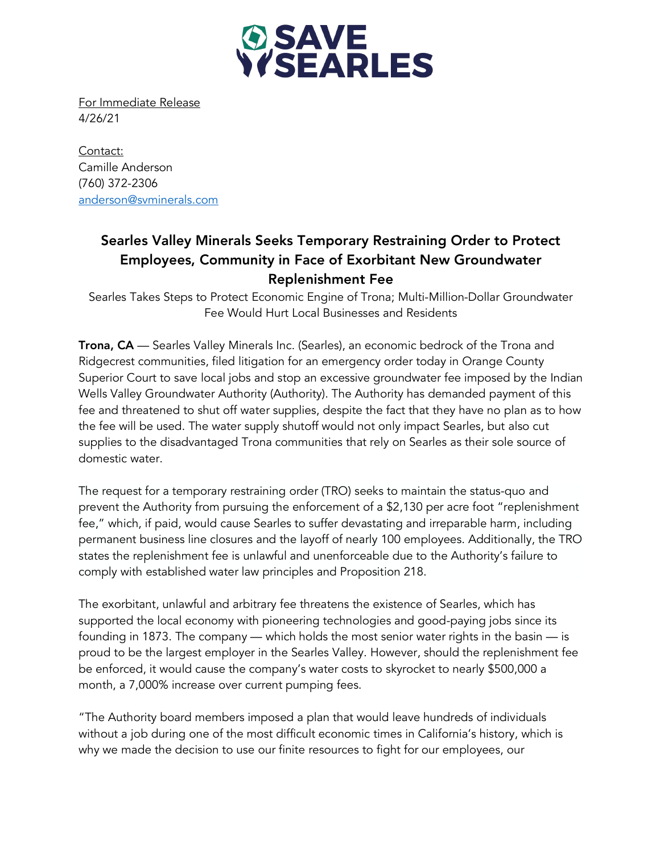

For Immediate Release 4/26/21

Contact: Camille Anderson (760) 372-2306 anderson@svminerals.com

## Searles Valley Minerals Seeks Temporary Restraining Order to Protect Employees, Community in Face of Exorbitant New Groundwater Replenishment Fee

Searles Takes Steps to Protect Economic Engine of Trona; Multi-Million-Dollar Groundwater Fee Would Hurt Local Businesses and Residents

Trona, CA — Searles Valley Minerals Inc. (Searles), an economic bedrock of the Trona and Ridgecrest communities, filed litigation for an emergency order today in Orange County Superior Court to save local jobs and stop an excessive groundwater fee imposed by the Indian Wells Valley Groundwater Authority (Authority). The Authority has demanded payment of this fee and threatened to shut off water supplies, despite the fact that they have no plan as to how the fee will be used. The water supply shutoff would not only impact Searles, but also cut supplies to the disadvantaged Trona communities that rely on Searles as their sole source of domestic water.

The request for a temporary restraining order (TRO) seeks to maintain the status-quo and prevent the Authority from pursuing the enforcement of a \$2,130 per acre foot "replenishment fee," which, if paid, would cause Searles to suffer devastating and irreparable harm, including permanent business line closures and the layoff of nearly 100 employees. Additionally, the TRO states the replenishment fee is unlawful and unenforceable due to the Authority's failure to comply with established water law principles and Proposition 218.

The exorbitant, unlawful and arbitrary fee threatens the existence of Searles, which has supported the local economy with pioneering technologies and good-paying jobs since its founding in 1873. The company — which holds the most senior water rights in the basin — is proud to be the largest employer in the Searles Valley. However, should the replenishment fee be enforced, it would cause the company's water costs to skyrocket to nearly \$500,000 a month, a 7,000% increase over current pumping fees.

"The Authority board members imposed a plan that would leave hundreds of individuals without a job during one of the most difficult economic times in California's history, which is why we made the decision to use our finite resources to fight for our employees, our